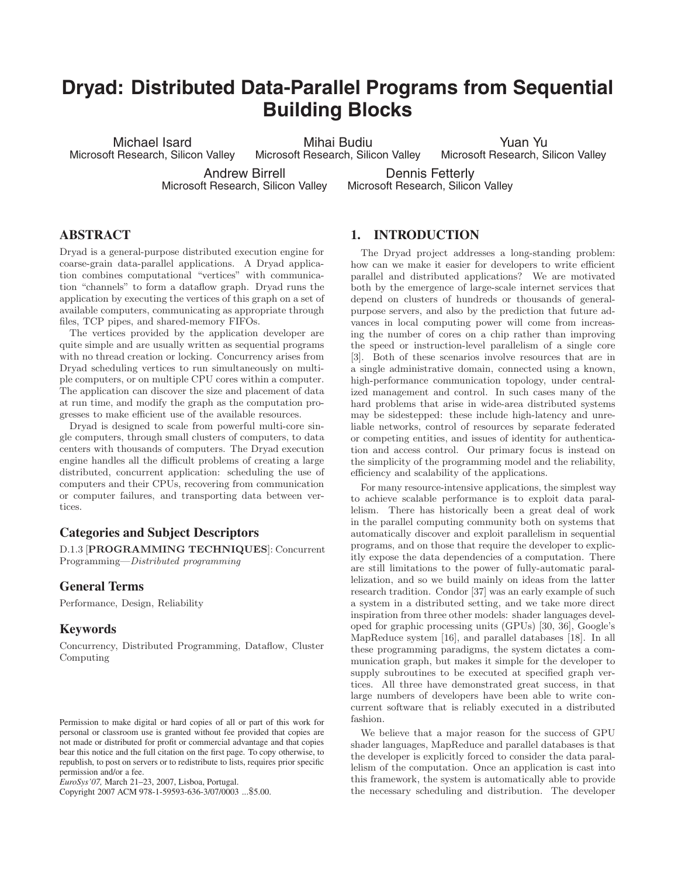# **Dryad: Distributed Data-Parallel Programs from Sequential Building Blocks**

Michael Isard

Mihai Budiu

Yuan Yu Microsoft Research, Silicon Valley

Microsoft Research, Silicon Valley Microsoft Research, Silicon Valley

> Andrew Birrell Microsoft Research, Silicon Valley

Dennis Fetterly Microsoft Research, Silicon Valley

# **ABSTRACT**

Dryad is a general-purpose distributed execution engine for coarse-grain data-parallel applications. A Dryad application combines computational "vertices" with communication "channels" to form a dataflow graph. Dryad runs the application by executing the vertices of this graph on a set of available computers, communicating as appropriate through files, TCP pipes, and shared-memory FIFOs.

The vertices provided by the application developer are quite simple and are usually written as sequential programs with no thread creation or locking. Concurrency arises from Dryad scheduling vertices to run simultaneously on multiple computers, or on multiple CPU cores within a computer. The application can discover the size and placement of data at run time, and modify the graph as the computation progresses to make efficient use of the available resources.

Dryad is designed to scale from powerful multi-core single computers, through small clusters of computers, to data centers with thousands of computers. The Dryad execution engine handles all the difficult problems of creating a large distributed, concurrent application: scheduling the use of computers and their CPUs, recovering from communication or computer failures, and transporting data between vertices.

# **Categories and Subject Descriptors**

D.1.3 [**PROGRAMMING TECHNIQUES**]: Concurrent Programming—*Distributed programming*

### **General Terms**

Performance, Design, Reliability

### **Keywords**

Concurrency, Distributed Programming, Dataflow, Cluster Computing

Copyright 2007 ACM 978-1-59593-636-3/07/0003 ...\$5.00.

# **1. INTRODUCTION**

The Dryad project addresses a long-standing problem: how can we make it easier for developers to write efficient parallel and distributed applications? We are motivated both by the emergence of large-scale internet services that depend on clusters of hundreds or thousands of generalpurpose servers, and also by the prediction that future advances in local computing power will come from increasing the number of cores on a chip rather than improving the speed or instruction-level parallelism of a single core [3]. Both of these scenarios involve resources that are in a single administrative domain, connected using a known, high-performance communication topology, under centralized management and control. In such cases many of the hard problems that arise in wide-area distributed systems may be sidestepped: these include high-latency and unreliable networks, control of resources by separate federated or competing entities, and issues of identity for authentication and access control. Our primary focus is instead on the simplicity of the programming model and the reliability, efficiency and scalability of the applications.

For many resource-intensive applications, the simplest way to achieve scalable performance is to exploit data parallelism. There has historically been a great deal of work in the parallel computing community both on systems that automatically discover and exploit parallelism in sequential programs, and on those that require the developer to explicitly expose the data dependencies of a computation. There are still limitations to the power of fully-automatic parallelization, and so we build mainly on ideas from the latter research tradition. Condor [37] was an early example of such a system in a distributed setting, and we take more direct inspiration from three other models: shader languages developed for graphic processing units (GPUs) [30, 36], Google's MapReduce system [16], and parallel databases [18]. In all these programming paradigms, the system dictates a communication graph, but makes it simple for the developer to supply subroutines to be executed at specified graph vertices. All three have demonstrated great success, in that large numbers of developers have been able to write concurrent software that is reliably executed in a distributed fashion.

We believe that a major reason for the success of GPU shader languages, MapReduce and parallel databases is that the developer is explicitly forced to consider the data parallelism of the computation. Once an application is cast into this framework, the system is automatically able to provide the necessary scheduling and distribution. The developer

Permission to make digital or hard copies of all or part of this work for personal or classroom use is granted without fee provided that copies are not made or distributed for profit or commercial advantage and that copies bear this notice and the full citation on the first page. To copy otherwise, to republish, to post on servers or to redistribute to lists, requires prior specific permission and/or a fee.

*EuroSys'07,* March 21–23, 2007, Lisboa, Portugal.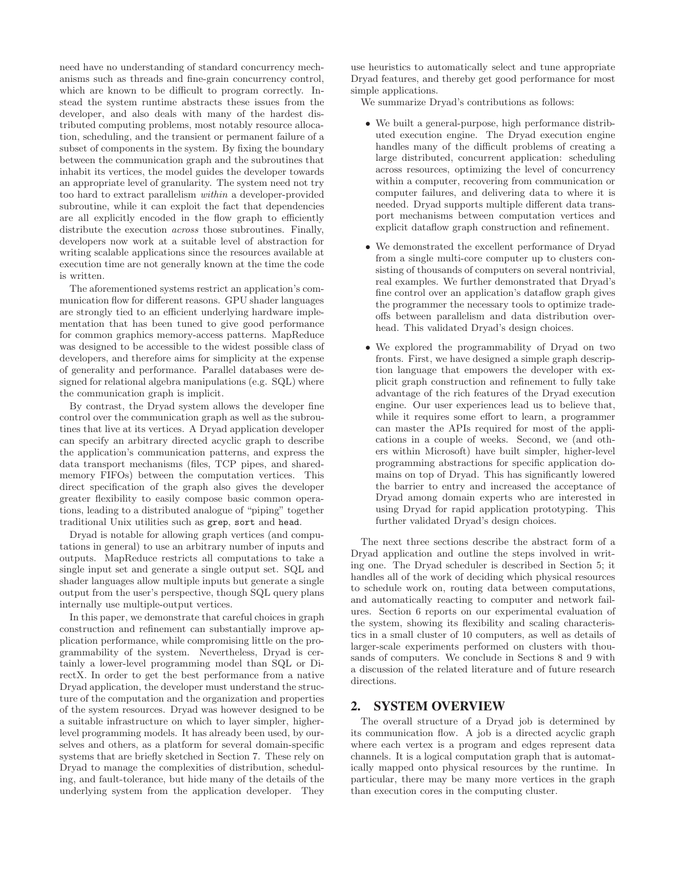need have no understanding of standard concurrency mechanisms such as threads and fine-grain concurrency control, which are known to be difficult to program correctly. Instead the system runtime abstracts these issues from the developer, and also deals with many of the hardest distributed computing problems, most notably resource allocation, scheduling, and the transient or permanent failure of a subset of components in the system. By fixing the boundary between the communication graph and the subroutines that inhabit its vertices, the model guides the developer towards an appropriate level of granularity. The system need not try too hard to extract parallelism *within* a developer-provided subroutine, while it can exploit the fact that dependencies are all explicitly encoded in the flow graph to efficiently distribute the execution *across* those subroutines. Finally, developers now work at a suitable level of abstraction for writing scalable applications since the resources available at execution time are not generally known at the time the code is written.

The aforementioned systems restrict an application's communication flow for different reasons. GPU shader languages are strongly tied to an efficient underlying hardware implementation that has been tuned to give good performance for common graphics memory-access patterns. MapReduce was designed to be accessible to the widest possible class of developers, and therefore aims for simplicity at the expense of generality and performance. Parallel databases were designed for relational algebra manipulations (e.g. SQL) where the communication graph is implicit.

By contrast, the Dryad system allows the developer fine control over the communication graph as well as the subroutines that live at its vertices. A Dryad application developer can specify an arbitrary directed acyclic graph to describe the application's communication patterns, and express the data transport mechanisms (files, TCP pipes, and sharedmemory FIFOs) between the computation vertices. This direct specification of the graph also gives the developer greater flexibility to easily compose basic common operations, leading to a distributed analogue of "piping" together traditional Unix utilities such as grep, sort and head.

Dryad is notable for allowing graph vertices (and computations in general) to use an arbitrary number of inputs and outputs. MapReduce restricts all computations to take a single input set and generate a single output set. SQL and shader languages allow multiple inputs but generate a single output from the user's perspective, though SQL query plans internally use multiple-output vertices.

In this paper, we demonstrate that careful choices in graph construction and refinement can substantially improve application performance, while compromising little on the programmability of the system. Nevertheless, Dryad is certainly a lower-level programming model than SQL or DirectX. In order to get the best performance from a native Dryad application, the developer must understand the structure of the computation and the organization and properties of the system resources. Dryad was however designed to be a suitable infrastructure on which to layer simpler, higherlevel programming models. It has already been used, by ourselves and others, as a platform for several domain-specific systems that are briefly sketched in Section 7. These rely on Dryad to manage the complexities of distribution, scheduling, and fault-tolerance, but hide many of the details of the underlying system from the application developer. They

use heuristics to automatically select and tune appropriate Dryad features, and thereby get good performance for most simple applications.

We summarize Dryad's contributions as follows:

- We built a general-purpose, high performance distributed execution engine. The Dryad execution engine handles many of the difficult problems of creating a large distributed, concurrent application: scheduling across resources, optimizing the level of concurrency within a computer, recovering from communication or computer failures, and delivering data to where it is needed. Dryad supports multiple different data transport mechanisms between computation vertices and explicit dataflow graph construction and refinement.
- We demonstrated the excellent performance of Dryad from a single multi-core computer up to clusters consisting of thousands of computers on several nontrivial, real examples. We further demonstrated that Dryad's fine control over an application's dataflow graph gives the programmer the necessary tools to optimize tradeoffs between parallelism and data distribution overhead. This validated Dryad's design choices.
- We explored the programmability of Dryad on two fronts. First, we have designed a simple graph description language that empowers the developer with explicit graph construction and refinement to fully take advantage of the rich features of the Dryad execution engine. Our user experiences lead us to believe that, while it requires some effort to learn, a programmer can master the APIs required for most of the applications in a couple of weeks. Second, we (and others within Microsoft) have built simpler, higher-level programming abstractions for specific application domains on top of Dryad. This has significantly lowered the barrier to entry and increased the acceptance of Dryad among domain experts who are interested in using Dryad for rapid application prototyping. This further validated Dryad's design choices.

The next three sections describe the abstract form of a Dryad application and outline the steps involved in writing one. The Dryad scheduler is described in Section 5; it handles all of the work of deciding which physical resources to schedule work on, routing data between computations, and automatically reacting to computer and network failures. Section 6 reports on our experimental evaluation of the system, showing its flexibility and scaling characteristics in a small cluster of 10 computers, as well as details of larger-scale experiments performed on clusters with thousands of computers. We conclude in Sections 8 and 9 with a discussion of the related literature and of future research directions.

# **2. SYSTEM OVERVIEW**

The overall structure of a Dryad job is determined by its communication flow. A job is a directed acyclic graph where each vertex is a program and edges represent data channels. It is a logical computation graph that is automatically mapped onto physical resources by the runtime. In particular, there may be many more vertices in the graph than execution cores in the computing cluster.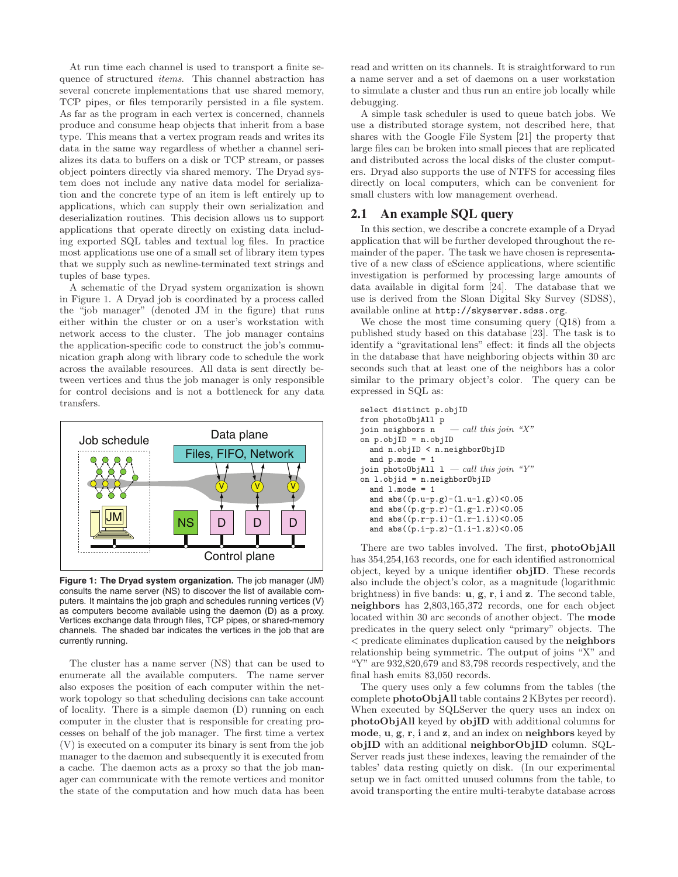At run time each channel is used to transport a finite sequence of structured *items*. This channel abstraction has several concrete implementations that use shared memory, TCP pipes, or files temporarily persisted in a file system. As far as the program in each vertex is concerned, channels produce and consume heap objects that inherit from a base type. This means that a vertex program reads and writes its data in the same way regardless of whether a channel serializes its data to buffers on a disk or TCP stream, or passes object pointers directly via shared memory. The Dryad system does not include any native data model for serialization and the concrete type of an item is left entirely up to applications, which can supply their own serialization and deserialization routines. This decision allows us to support applications that operate directly on existing data including exported SQL tables and textual log files. In practice most applications use one of a small set of library item types that we supply such as newline-terminated text strings and tuples of base types.

A schematic of the Dryad system organization is shown in Figure 1. A Dryad job is coordinated by a process called the "job manager" (denoted JM in the figure) that runs either within the cluster or on a user's workstation with network access to the cluster. The job manager contains the application-specific code to construct the job's communication graph along with library code to schedule the work across the available resources. All data is sent directly between vertices and thus the job manager is only responsible for control decisions and is not a bottleneck for any data transfers.



**Figure 1: The Dryad system organization.** The job manager (JM) consults the name server (NS) to discover the list of available computers. It maintains the job graph and schedules running vertices (V) as computers become available using the daemon (D) as a proxy. Vertices exchange data through files, TCP pipes, or shared-memory channels. The shaded bar indicates the vertices in the job that are currently running.

The cluster has a name server (NS) that can be used to enumerate all the available computers. The name server also exposes the position of each computer within the network topology so that scheduling decisions can take account of locality. There is a simple daemon (D) running on each computer in the cluster that is responsible for creating processes on behalf of the job manager. The first time a vertex (V) is executed on a computer its binary is sent from the job manager to the daemon and subsequently it is executed from a cache. The daemon acts as a proxy so that the job manager can communicate with the remote vertices and monitor the state of the computation and how much data has been

read and written on its channels. It is straightforward to run a name server and a set of daemons on a user workstation to simulate a cluster and thus run an entire job locally while debugging.

A simple task scheduler is used to queue batch jobs. We use a distributed storage system, not described here, that shares with the Google File System [21] the property that large files can be broken into small pieces that are replicated and distributed across the local disks of the cluster computers. Dryad also supports the use of NTFS for accessing files directly on local computers, which can be convenient for small clusters with low management overhead.

### **2.1 An example SQL query**

In this section, we describe a concrete example of a Dryad application that will be further developed throughout the remainder of the paper. The task we have chosen is representative of a new class of eScience applications, where scientific investigation is performed by processing large amounts of data available in digital form [24]. The database that we use is derived from the Sloan Digital Sky Survey (SDSS), available online at http://skyserver.sdss.org.

We chose the most time consuming query (Q18) from a published study based on this database [23]. The task is to identify a "gravitational lens" effect: it finds all the objects in the database that have neighboring objects within 30 arc seconds such that at least one of the neighbors has a color similar to the primary object's color. The query can be expressed in SQL as:

```
select distinct p.objID
from photoObjAll p
join neighbors n — call this join "X"
on p.objID = n.objID
 and n.objID < n.neighborObjID
 and p. mode = 1
join photoObjAll l — call this join "Y"
on l.objid = n.neighborObjID
 and 1.mode = 1and abs((p.u-p.g)-(l.u-l.g))<0.05
 and abs((p.g-p.r)-(l.g-l.r))<0.05
 and abs((p.r-p.i)-(1.r-1.i))<0.05and abs((p.i-p.z)-(l.i-l.z))<0.05
```
There are two tables involved. The first, **photoObjAll** has 354,254,163 records, one for each identified astronomical object, keyed by a unique identifier **objID**. These records also include the object's color, as a magnitude (logarithmic brightness) in five bands: **u**, **g**, **r**, **i** and **z**. The second table, **neighbors** has 2,803,165,372 records, one for each object located within 30 arc seconds of another object. The **mode** predicates in the query select only "primary" objects. The *<* predicate eliminates duplication caused by the **neighbors** relationship being symmetric. The output of joins "X" and "Y" are 932,820,679 and 83,798 records respectively, and the final hash emits 83,050 records.

The query uses only a few columns from the tables (the complete **photoObjAll** table contains 2 KBytes per record). When executed by SQLServer the query uses an index on **photoObjAll** keyed by **objID** with additional columns for **mode**, **u**, **g**, **r**, **i** and **z**, and an index on **neighbors** keyed by **objID** with an additional **neighborObjID** column. SQL-Server reads just these indexes, leaving the remainder of the tables' data resting quietly on disk. (In our experimental setup we in fact omitted unused columns from the table, to avoid transporting the entire multi-terabyte database across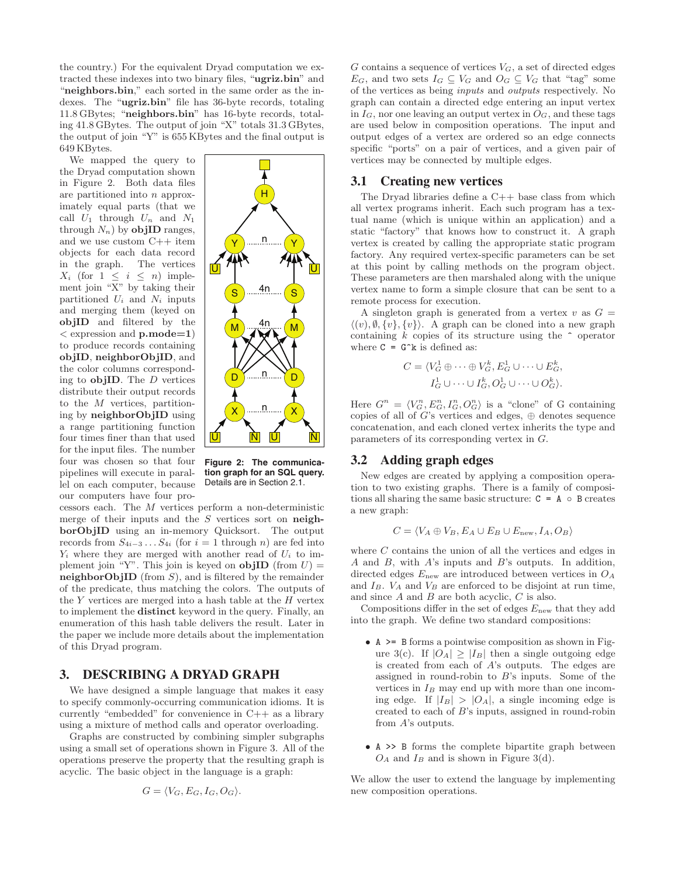the country.) For the equivalent Dryad computation we extracted these indexes into two binary files, "**ugriz.bin**" and "**neighbors.bin**," each sorted in the same order as the indexes. The "**ugriz.bin**" file has 36-byte records, totaling 11.8 GBytes; "**neighbors.bin**" has 16-byte records, totaling 41.8 GBytes. The output of join "X" totals 31.3 GBytes, the output of join "Y" is 655 KBytes and the final output is 649 KBytes.

We mapped the query to the Dryad computation shown in Figure 2. Both data files are partitioned into *n* approximately equal parts (that we call  $U_1$  through  $U_n$  and  $N_1$ through  $N_n$ ) by **objID** ranges, and we use custom C++ item objects for each data record in the graph. The vertices  $X_i$  (for  $1 \leq i \leq n$ ) implement join "X" by taking their partitioned  $U_i$  and  $N_i$  inputs and merging them (keyed on **objID** and filtered by the *<* expression and **p.mode=1**) to produce records containing **objID**, **neighborObjID**, and the color columns corresponding to **objID**. The *D* vertices distribute their output records to the *M* vertices, partitioning by **neighborObjID** using a range partitioning function four times finer than that used for the input files. The number four was chosen so that four pipelines will execute in parallel on each computer, because our computers have four pro-



**Figure 2: The communication graph for an SQL query.** Details are in Section 2.1.

cessors each. The *M* vertices perform a non-deterministic merge of their inputs and the *S* vertices sort on **neighborObjID** using an in-memory Quicksort. The output records from  $S_{4i-3}$ ... $S_{4i}$  (for  $i = 1$  through *n*) are fed into  $Y_i$  where they are merged with another read of  $U_i$  to implement join "Y". This join is keyed on  $\textbf{objID}$  (from  $U$ ) = **neighborObjID** (from *S*), and is filtered by the remainder of the predicate, thus matching the colors. The outputs of the *Y* vertices are merged into a hash table at the *H* vertex to implement the **distinct** keyword in the query. Finally, an enumeration of this hash table delivers the result. Later in the paper we include more details about the implementation of this Dryad program.

# **3. DESCRIBING A DRYAD GRAPH**

We have designed a simple language that makes it easy to specify commonly-occurring communication idioms. It is currently "embedded" for convenience in C++ as a library using a mixture of method calls and operator overloading.

Graphs are constructed by combining simpler subgraphs using a small set of operations shown in Figure 3. All of the operations preserve the property that the resulting graph is acyclic. The basic object in the language is a graph:

$$
G = \langle V_G, E_G, I_G, O_G \rangle.
$$

 $G$  contains a sequence of vertices  $V_G$ , a set of directed edges *E<sub>G</sub>*, and two sets  $I_G \subseteq V_G$  and  $O_G \subseteq V_G$  that "tag" some of the vertices as being *inputs* and *outputs* respectively. No graph can contain a directed edge entering an input vertex in  $I_G$ , nor one leaving an output vertex in  $O_G$ , and these tags are used below in composition operations. The input and output edges of a vertex are ordered so an edge connects specific "ports" on a pair of vertices, and a given pair of vertices may be connected by multiple edges.

# **3.1 Creating new vertices**

The Dryad libraries define a C++ base class from which all vertex programs inherit. Each such program has a textual name (which is unique within an application) and a static "factory" that knows how to construct it. A graph vertex is created by calling the appropriate static program factory. Any required vertex-specific parameters can be set at this point by calling methods on the program object. These parameters are then marshaled along with the unique vertex name to form a simple closure that can be sent to a remote process for execution.

A singleton graph is generated from a vertex  $v$  as  $G =$  $\langle v, \emptyset, \{v\}, \{v\}\rangle$ . A graph can be cloned into a new graph containing *k* copies of its structure using the ^ operator where  $C = G^*k$  is defined as:

$$
C = \langle V_G^1 \oplus \cdots \oplus V_G^k, E_G^1 \cup \cdots \cup E_G^k,
$$
  

$$
I_G^1 \cup \cdots \cup I_G^k, O_G^1 \cup \cdots \cup O_G^k \rangle.
$$

Here  $G^n = \langle V_G^n, E_G^n, I_G^n, O_G^n \rangle$  is a "clone" of G containing copies of all of *G*'s vertices and edges, ⊕ denotes sequence concatenation, and each cloned vertex inherits the type and parameters of its corresponding vertex in *G*.

# **3.2 Adding graph edges**

New edges are created by applying a composition operation to two existing graphs. There is a family of compositions all sharing the same basic structure:  $C = A \circ B$  creates a new graph:

$$
C = \langle V_A \oplus V_B, E_A \cup E_B \cup E_{\text{new}}, I_A, O_B \rangle
$$

where *C* contains the union of all the vertices and edges in *A* and *B*, with *A*'s inputs and *B*'s outputs. In addition, directed edges *E*new are introduced between vertices in *O<sup>A</sup>* and  $I_B$ .  $V_A$  and  $V_B$  are enforced to be disjoint at run time, and since *A* and *B* are both acyclic, *C* is also.

Compositions differ in the set of edges *E*new that they add into the graph. We define two standard compositions:

- A >= B forms a pointwise composition as shown in Figure 3(c). If  $|O_A| \geq |I_B|$  then a single outgoing edge is created from each of *A*'s outputs. The edges are assigned in round-robin to *B*'s inputs. Some of the vertices in  $I_B$  may end up with more than one incoming edge. If  $|I_B| > |O_A|$ , a single incoming edge is created to each of *B*'s inputs, assigned in round-robin from *A*'s outputs.
- A >> B forms the complete bipartite graph between *O<sup>A</sup>* and *I<sup>B</sup>* and is shown in Figure 3(d).

We allow the user to extend the language by implementing new composition operations.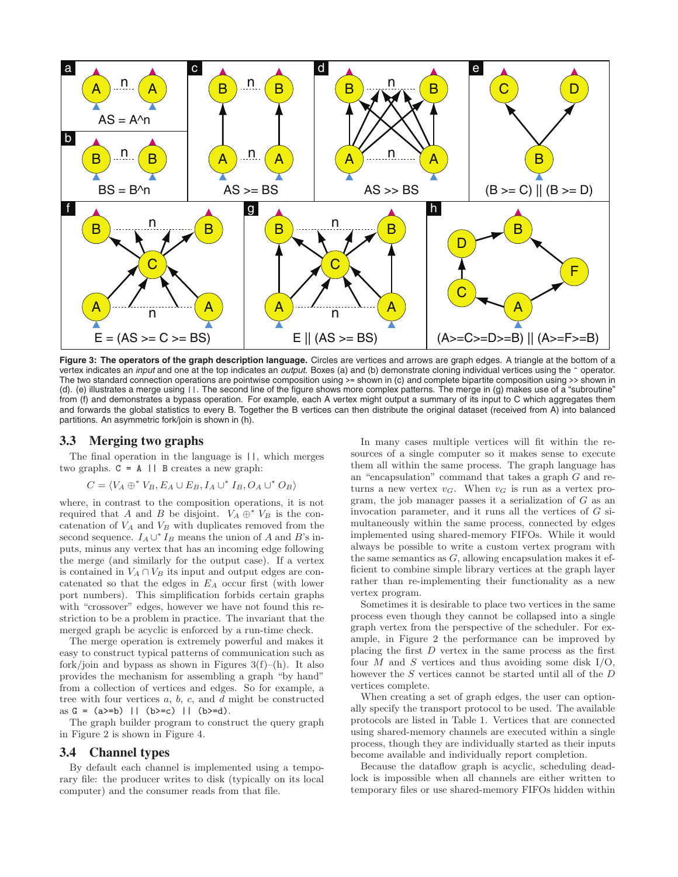

**Figure 3: The operators of the graph description language.** Circles are vertices and arrows are graph edges. A triangle at the bottom of a vertex indicates an *input* and one at the top indicates an *output*. Boxes (a) and (b) demonstrate cloning individual vertices using the  $\hat{ }$  operator. The two standard connection operations are pointwise composition using >= shown in (c) and complete bipartite composition using >> shown in (d). (e) illustrates a merge using ||. The second line of the figure shows more complex patterns. The merge in (g) makes use of a "subroutine" from (f) and demonstrates a bypass operation. For example, each A vertex might output a summary of its input to C which aggregates them and forwards the global statistics to every B. Together the B vertices can then distribute the original dataset (received from A) into balanced partitions. An asymmetric fork/join is shown in (h).

### **3.3 Merging two graphs**

The final operation in the language is ||, which merges two graphs. C = A || B creates a new graph:

$$
C = \langle V_A \oplus^* V_B, E_A \cup E_B, I_A \cup^* I_B, O_A \cup^* O_B \rangle
$$

where, in contrast to the composition operations, it is not required that *A* and *B* be disjoint.  $V_A \oplus^* V_B$  is the concatenation of *V<sup>A</sup>* and *V<sup>B</sup>* with duplicates removed from the second sequence.  $I_A \cup^* I_B$  means the union of *A* and *B*'s inputs, minus any vertex that has an incoming edge following the merge (and similarly for the output case). If a vertex is contained in  $V_A \cap V_B$  its input and output edges are concatenated so that the edges in *E<sup>A</sup>* occur first (with lower port numbers). This simplification forbids certain graphs with "crossover" edges, however we have not found this restriction to be a problem in practice. The invariant that the merged graph be acyclic is enforced by a run-time check.

The merge operation is extremely powerful and makes it easy to construct typical patterns of communication such as fork/join and bypass as shown in Figures  $3(f)$ –(h). It also provides the mechanism for assembling a graph "by hand" from a collection of vertices and edges. So for example, a tree with four vertices *a*, *b*, *c*, and *d* might be constructed as  $G = (a \Rightarrow b) || (b \Rightarrow c) || (b \Rightarrow d).$ 

The graph builder program to construct the query graph in Figure 2 is shown in Figure 4.

### **3.4 Channel types**

By default each channel is implemented using a temporary file: the producer writes to disk (typically on its local computer) and the consumer reads from that file.

In many cases multiple vertices will fit within the resources of a single computer so it makes sense to execute them all within the same process. The graph language has an "encapsulation" command that takes a graph *G* and returns a new vertex  $v_G$ . When  $v_G$  is run as a vertex program, the job manager passes it a serialization of *G* as an invocation parameter, and it runs all the vertices of *G* simultaneously within the same process, connected by edges implemented using shared-memory FIFOs. While it would always be possible to write a custom vertex program with the same semantics as *G*, allowing encapsulation makes it efficient to combine simple library vertices at the graph layer rather than re-implementing their functionality as a new vertex program.

Sometimes it is desirable to place two vertices in the same process even though they cannot be collapsed into a single graph vertex from the perspective of the scheduler. For example, in Figure 2 the performance can be improved by placing the first *D* vertex in the same process as the first four  $M$  and  $S$  vertices and thus avoiding some disk  $I/O$ , however the *S* vertices cannot be started until all of the *D* vertices complete.

When creating a set of graph edges, the user can optionally specify the transport protocol to be used. The available protocols are listed in Table 1. Vertices that are connected using shared-memory channels are executed within a single process, though they are individually started as their inputs become available and individually report completion.

Because the dataflow graph is acyclic, scheduling deadlock is impossible when all channels are either written to temporary files or use shared-memory FIFOs hidden within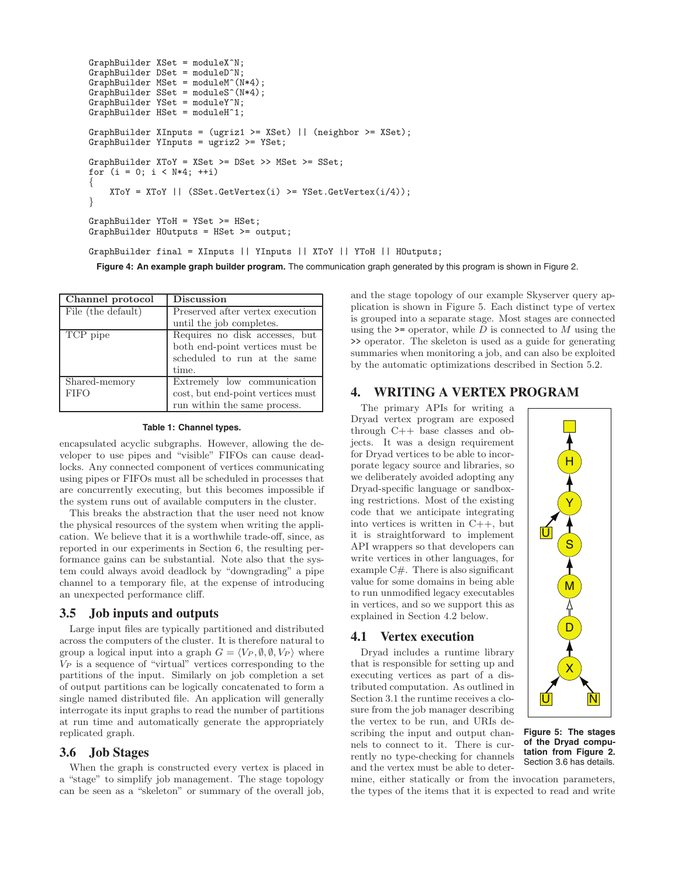```
GraphBuilder XSet = moduleX^N;
GraphBuilder DSet = moduleD^N;
GraphBuilder MSet = moduleM^(N*4);
GraphBuilder SSet = moduleS^(N*4);
GraphBuilder YSet = moduleY^N;
GraphBuilder HSet = moduleH^1;
GraphBuilder XInputs = (ugriz1 >= XSet) || (neighbor >= XSet);
GraphBuilder YInputs = ugriz2 >= YSet;
GraphBuilder XToY = XSet >= DSet >> MSet >= SSet;
for (i = 0; i < N*4; ++i)\{XToY = XToY || (SSet.GetVertex(i) >= YSet.GetVertex(i/4));}
GraphBuilder YToH = YSet >= HSet;
GraphBuilder HOutputs = HSet >= output;
GraphBuilder final = XInputs || YInputs || XToY || YToH || HOutputs;
```
**Figure 4: An example graph builder program.** The communication graph generated by this program is shown in Figure 2.

| Channel protocol   | <b>Discussion</b>                 |
|--------------------|-----------------------------------|
| File (the default) | Preserved after vertex execution  |
|                    | until the job completes.          |
| TCP pipe           | Requires no disk accesses, but    |
|                    | both end-point vertices must be   |
|                    | scheduled to run at the same      |
|                    | time.                             |
| Shared-memory      | Extremely low communication       |
| <b>FIFO</b>        | cost, but end-point vertices must |
|                    | run within the same process.      |

#### **Table 1: Channel types.**

encapsulated acyclic subgraphs. However, allowing the developer to use pipes and "visible" FIFOs can cause deadlocks. Any connected component of vertices communicating using pipes or FIFOs must all be scheduled in processes that are concurrently executing, but this becomes impossible if the system runs out of available computers in the cluster.

This breaks the abstraction that the user need not know the physical resources of the system when writing the application. We believe that it is a worthwhile trade-off, since, as reported in our experiments in Section 6, the resulting performance gains can be substantial. Note also that the system could always avoid deadlock by "downgrading" a pipe channel to a temporary file, at the expense of introducing an unexpected performance cliff.

# **3.5 Job inputs and outputs**

Large input files are typically partitioned and distributed across the computers of the cluster. It is therefore natural to group a logical input into a graph  $G = \langle V_P, \emptyset, \emptyset, V_P \rangle$  where *V<sup>P</sup>* is a sequence of "virtual" vertices corresponding to the partitions of the input. Similarly on job completion a set of output partitions can be logically concatenated to form a single named distributed file. An application will generally interrogate its input graphs to read the number of partitions at run time and automatically generate the appropriately replicated graph.

# **3.6 Job Stages**

When the graph is constructed every vertex is placed in a "stage" to simplify job management. The stage topology can be seen as a "skeleton" or summary of the overall job,

and the stage topology of our example Skyserver query application is shown in Figure 5. Each distinct type of vertex is grouped into a separate stage. Most stages are connected using the >= operator, while *D* is connected to *M* using the >> operator. The skeleton is used as a guide for generating summaries when monitoring a job, and can also be exploited by the automatic optimizations described in Section 5.2.

# **4. WRITING A VERTEX PROGRAM**

The primary APIs for writing a Dryad vertex program are exposed through C++ base classes and objects. It was a design requirement for Dryad vertices to be able to incorporate legacy source and libraries, so we deliberately avoided adopting any Dryad-specific language or sandboxing restrictions. Most of the existing code that we anticipate integrating into vertices is written in C++, but it is straightforward to implement API wrappers so that developers can write vertices in other languages, for example C#. There is also significant value for some domains in being able to run unmodified legacy executables in vertices, and so we support this as explained in Section 4.2 below.

### **4.1 Vertex execution**

Dryad includes a runtime library that is responsible for setting up and executing vertices as part of a distributed computation. As outlined in Section 3.1 the runtime receives a closure from the job manager describing the vertex to be run, and URIs describing the input and output channels to connect to it. There is currently no type-checking for channels and the vertex must be able to deter-



**Figure 5: The stages of the Dryad computation from Figure 2.** Section 3.6 has details.

mine, either statically or from the invocation parameters, the types of the items that it is expected to read and write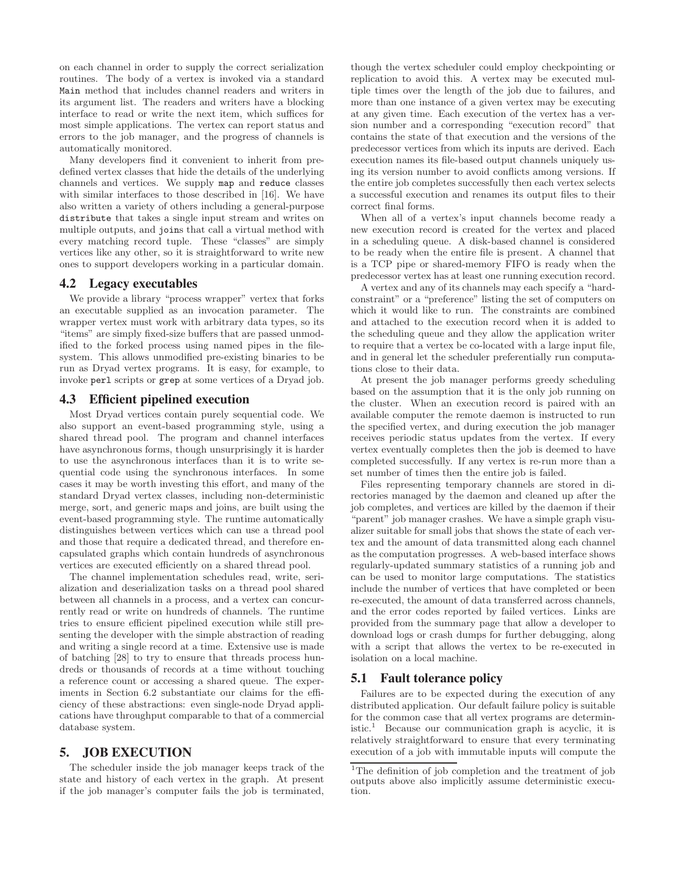on each channel in order to supply the correct serialization routines. The body of a vertex is invoked via a standard Main method that includes channel readers and writers in its argument list. The readers and writers have a blocking interface to read or write the next item, which suffices for most simple applications. The vertex can report status and errors to the job manager, and the progress of channels is automatically monitored.

Many developers find it convenient to inherit from predefined vertex classes that hide the details of the underlying channels and vertices. We supply map and reduce classes with similar interfaces to those described in [16]. We have also written a variety of others including a general-purpose distribute that takes a single input stream and writes on multiple outputs, and joins that call a virtual method with every matching record tuple. These "classes" are simply vertices like any other, so it is straightforward to write new ones to support developers working in a particular domain.

### **4.2 Legacy executables**

We provide a library "process wrapper" vertex that forks an executable supplied as an invocation parameter. The wrapper vertex must work with arbitrary data types, so its "items" are simply fixed-size buffers that are passed unmodified to the forked process using named pipes in the filesystem. This allows unmodified pre-existing binaries to be run as Dryad vertex programs. It is easy, for example, to invoke perl scripts or grep at some vertices of a Dryad job.

#### **4.3 Efficient pipelined execution**

Most Dryad vertices contain purely sequential code. We also support an event-based programming style, using a shared thread pool. The program and channel interfaces have asynchronous forms, though unsurprisingly it is harder to use the asynchronous interfaces than it is to write sequential code using the synchronous interfaces. In some cases it may be worth investing this effort, and many of the standard Dryad vertex classes, including non-deterministic merge, sort, and generic maps and joins, are built using the event-based programming style. The runtime automatically distinguishes between vertices which can use a thread pool and those that require a dedicated thread, and therefore encapsulated graphs which contain hundreds of asynchronous vertices are executed efficiently on a shared thread pool.

The channel implementation schedules read, write, serialization and deserialization tasks on a thread pool shared between all channels in a process, and a vertex can concurrently read or write on hundreds of channels. The runtime tries to ensure efficient pipelined execution while still presenting the developer with the simple abstraction of reading and writing a single record at a time. Extensive use is made of batching [28] to try to ensure that threads process hundreds or thousands of records at a time without touching a reference count or accessing a shared queue. The experiments in Section 6.2 substantiate our claims for the efficiency of these abstractions: even single-node Dryad applications have throughput comparable to that of a commercial database system.

### **5. JOB EXECUTION**

The scheduler inside the job manager keeps track of the state and history of each vertex in the graph. At present if the job manager's computer fails the job is terminated,

though the vertex scheduler could employ checkpointing or replication to avoid this. A vertex may be executed multiple times over the length of the job due to failures, and more than one instance of a given vertex may be executing at any given time. Each execution of the vertex has a version number and a corresponding "execution record" that contains the state of that execution and the versions of the predecessor vertices from which its inputs are derived. Each execution names its file-based output channels uniquely using its version number to avoid conflicts among versions. If the entire job completes successfully then each vertex selects a successful execution and renames its output files to their correct final forms.

When all of a vertex's input channels become ready a new execution record is created for the vertex and placed in a scheduling queue. A disk-based channel is considered to be ready when the entire file is present. A channel that is a TCP pipe or shared-memory FIFO is ready when the predecessor vertex has at least one running execution record.

A vertex and any of its channels may each specify a "hardconstraint" or a "preference" listing the set of computers on which it would like to run. The constraints are combined and attached to the execution record when it is added to the scheduling queue and they allow the application writer to require that a vertex be co-located with a large input file, and in general let the scheduler preferentially run computations close to their data.

At present the job manager performs greedy scheduling based on the assumption that it is the only job running on the cluster. When an execution record is paired with an available computer the remote daemon is instructed to run the specified vertex, and during execution the job manager receives periodic status updates from the vertex. If every vertex eventually completes then the job is deemed to have completed successfully. If any vertex is re-run more than a set number of times then the entire job is failed.

Files representing temporary channels are stored in directories managed by the daemon and cleaned up after the job completes, and vertices are killed by the daemon if their "parent" job manager crashes. We have a simple graph visualizer suitable for small jobs that shows the state of each vertex and the amount of data transmitted along each channel as the computation progresses. A web-based interface shows regularly-updated summary statistics of a running job and can be used to monitor large computations. The statistics include the number of vertices that have completed or been re-executed, the amount of data transferred across channels, and the error codes reported by failed vertices. Links are provided from the summary page that allow a developer to download logs or crash dumps for further debugging, along with a script that allows the vertex to be re-executed in isolation on a local machine.

#### **5.1 Fault tolerance policy**

Failures are to be expected during the execution of any distributed application. Our default failure policy is suitable for the common case that all vertex programs are deterministic.<sup>1</sup> Because our communication graph is acyclic, it is relatively straightforward to ensure that every terminating execution of a job with immutable inputs will compute the

 $1$ The definition of job completion and the treatment of job outputs above also implicitly assume deterministic execution.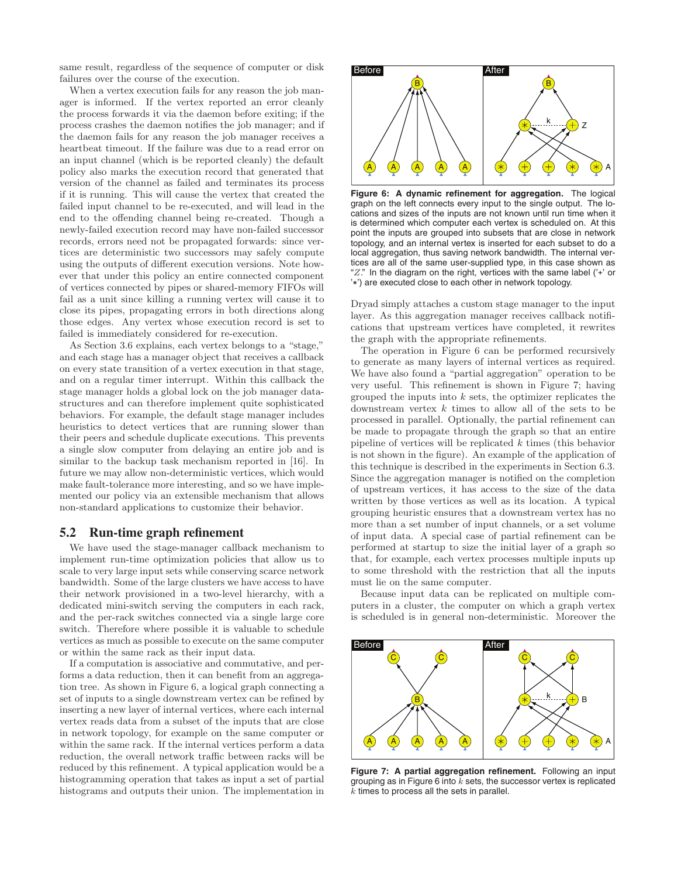same result, regardless of the sequence of computer or disk failures over the course of the execution.

When a vertex execution fails for any reason the job manager is informed. If the vertex reported an error cleanly the process forwards it via the daemon before exiting; if the process crashes the daemon notifies the job manager; and if the daemon fails for any reason the job manager receives a heartbeat timeout. If the failure was due to a read error on an input channel (which is be reported cleanly) the default policy also marks the execution record that generated that version of the channel as failed and terminates its process if it is running. This will cause the vertex that created the failed input channel to be re-executed, and will lead in the end to the offending channel being re-created. Though a newly-failed execution record may have non-failed successor records, errors need not be propagated forwards: since vertices are deterministic two successors may safely compute using the outputs of different execution versions. Note however that under this policy an entire connected component of vertices connected by pipes or shared-memory FIFOs will fail as a unit since killing a running vertex will cause it to close its pipes, propagating errors in both directions along those edges. Any vertex whose execution record is set to failed is immediately considered for re-execution.

As Section 3.6 explains, each vertex belongs to a "stage," and each stage has a manager object that receives a callback on every state transition of a vertex execution in that stage, and on a regular timer interrupt. Within this callback the stage manager holds a global lock on the job manager datastructures and can therefore implement quite sophisticated behaviors. For example, the default stage manager includes heuristics to detect vertices that are running slower than their peers and schedule duplicate executions. This prevents a single slow computer from delaying an entire job and is similar to the backup task mechanism reported in [16]. In future we may allow non-deterministic vertices, which would make fault-tolerance more interesting, and so we have implemented our policy via an extensible mechanism that allows non-standard applications to customize their behavior.

### **5.2 Run-time graph refinement**

We have used the stage-manager callback mechanism to implement run-time optimization policies that allow us to scale to very large input sets while conserving scarce network bandwidth. Some of the large clusters we have access to have their network provisioned in a two-level hierarchy, with a dedicated mini-switch serving the computers in each rack, and the per-rack switches connected via a single large core switch. Therefore where possible it is valuable to schedule vertices as much as possible to execute on the same computer or within the same rack as their input data.

If a computation is associative and commutative, and performs a data reduction, then it can benefit from an aggregation tree. As shown in Figure 6, a logical graph connecting a set of inputs to a single downstream vertex can be refined by inserting a new layer of internal vertices, where each internal vertex reads data from a subset of the inputs that are close in network topology, for example on the same computer or within the same rack. If the internal vertices perform a data reduction, the overall network traffic between racks will be reduced by this refinement. A typical application would be a histogramming operation that takes as input a set of partial histograms and outputs their union. The implementation in



**Figure 6: A dynamic refinement for aggregation.** The logical graph on the left connects every input to the single output. The locations and sizes of the inputs are not known until run time when it is determined which computer each vertex is scheduled on. At this point the inputs are grouped into subsets that are close in network topology, and an internal vertex is inserted for each subset to do a local aggregation, thus saving network bandwidth. The internal vertices are all of the same user-supplied type, in this case shown as "*Z*." In the diagram on the right, vertices with the same label ('+' or '\*') are executed close to each other in network topology.

Dryad simply attaches a custom stage manager to the input layer. As this aggregation manager receives callback notifications that upstream vertices have completed, it rewrites the graph with the appropriate refinements.

The operation in Figure 6 can be performed recursively to generate as many layers of internal vertices as required. We have also found a "partial aggregation" operation to be very useful. This refinement is shown in Figure 7; having grouped the inputs into *k* sets, the optimizer replicates the downstream vertex *k* times to allow all of the sets to be processed in parallel. Optionally, the partial refinement can be made to propagate through the graph so that an entire pipeline of vertices will be replicated *k* times (this behavior is not shown in the figure). An example of the application of this technique is described in the experiments in Section 6.3. Since the aggregation manager is notified on the completion of upstream vertices, it has access to the size of the data written by those vertices as well as its location. A typical grouping heuristic ensures that a downstream vertex has no more than a set number of input channels, or a set volume of input data. A special case of partial refinement can be performed at startup to size the initial layer of a graph so that, for example, each vertex processes multiple inputs up to some threshold with the restriction that all the inputs must lie on the same computer.

Because input data can be replicated on multiple computers in a cluster, the computer on which a graph vertex is scheduled is in general non-deterministic. Moreover the



**Figure 7: A partial aggregation refinement.** Following an input grouping as in Figure 6 into *k* sets, the successor vertex is replicated *k* times to process all the sets in parallel.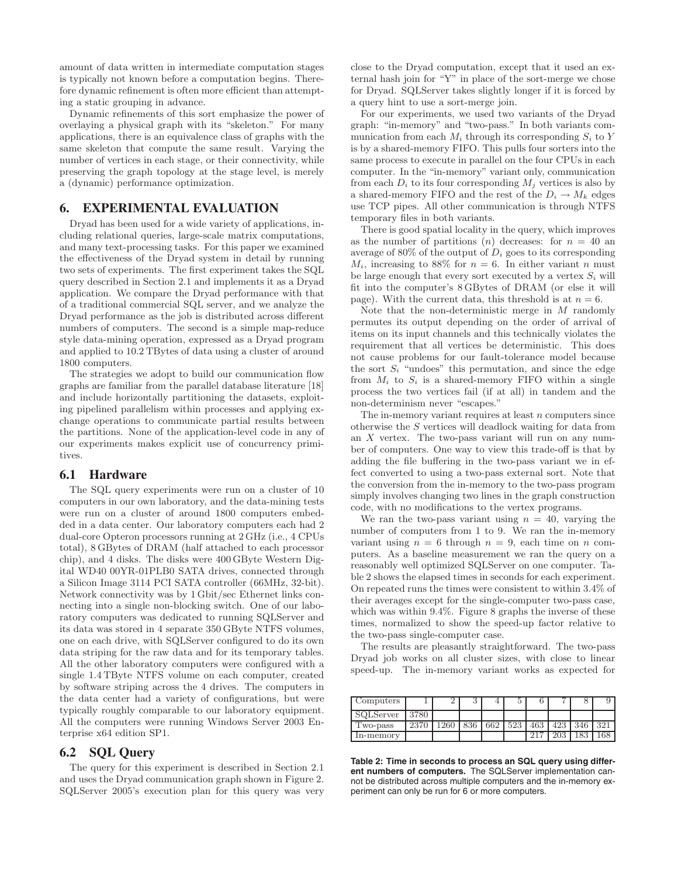amount of data written in intermediate computation stages is typically not known before a computation begins. Therefore dynamic refinement is often more efficient than attempting a static grouping in advance.

Dynamic refinements of this sort emphasize the power of overlaying a physical graph with its "skeleton." For many applications, there is an equivalence class of graphs with the same skeleton that compute the same result. Varying the number of vertices in each stage, or their connectivity, while preserving the graph topology at the stage level, is merely a (dynamic) performance optimization.

# **6. EXPERIMENTAL EVALUATION**

Dryad has been used for a wide variety of applications, including relational queries, large-scale matrix computations, and many text-processing tasks. For this paper we examined the effectiveness of the Dryad system in detail by running two sets of experiments. The first experiment takes the SQL query described in Section 2.1 and implements it as a Dryad application. We compare the Dryad performance with that of a traditional commercial SQL server, and we analyze the Dryad performance as the job is distributed across different numbers of computers. The second is a simple map-reduce style data-mining operation, expressed as a Dryad program and applied to 10.2 TBytes of data using a cluster of around 1800 computers.

The strategies we adopt to build our communication flow graphs are familiar from the parallel database literature [18] and include horizontally partitioning the datasets, exploiting pipelined parallelism within processes and applying exchange operations to communicate partial results between the partitions. None of the application-level code in any of our experiments makes explicit use of concurrency primitives.

### **6.1 Hardware**

The SQL query experiments were run on a cluster of 10 computers in our own laboratory, and the data-mining tests were run on a cluster of around 1800 computers embedded in a data center. Our laboratory computers each had 2 dual-core Opteron processors running at 2 GHz (i.e., 4 CPUs total), 8 GBytes of DRAM (half attached to each processor chip), and 4 disks. The disks were 400 GByte Western Digital WD40 00YR-01PLB0 SATA drives, connected through a Silicon Image 3114 PCI SATA controller (66MHz, 32-bit). Network connectivity was by 1 Gbit/sec Ethernet links connecting into a single non-blocking switch. One of our laboratory computers was dedicated to running SQLServer and its data was stored in 4 separate 350 GByte NTFS volumes, one on each drive, with SQLServer configured to do its own data striping for the raw data and for its temporary tables. All the other laboratory computers were configured with a single 1.4 TByte NTFS volume on each computer, created by software striping across the 4 drives. The computers in the data center had a variety of configurations, but were typically roughly comparable to our laboratory equipment. All the computers were running Windows Server 2003 Enterprise x64 edition SP1.

# **6.2 SQL Query**

The query for this experiment is described in Section 2.1 and uses the Dryad communication graph shown in Figure 2. SQLServer 2005's execution plan for this query was very close to the Dryad computation, except that it used an external hash join for "Y" in place of the sort-merge we chose for Dryad. SQLServer takes slightly longer if it is forced by a query hint to use a sort-merge join.

For our experiments, we used two variants of the Dryad graph: "in-memory" and "two-pass." In both variants communication from each  $M_i$  through its corresponding  $S_i$  to  $Y$ is by a shared-memory FIFO. This pulls four sorters into the same process to execute in parallel on the four CPUs in each computer. In the "in-memory" variant only, communication from each  $D_i$  to its four corresponding  $M_j$  vertices is also by a shared-memory FIFO and the rest of the  $D_i \to M_k$  edges use TCP pipes. All other communication is through NTFS temporary files in both variants.

There is good spatial locality in the query, which improves as the number of partitions  $(n)$  decreases: for  $n = 40$  and average of 80% of the output of  $D_i$  goes to its corresponding  $M_i$ , increasing to 88% for  $n = 6$ . In either variant *n* must be large enough that every sort executed by a vertex  $S_i$  will fit into the computer's 8 GBytes of DRAM (or else it will page). With the current data, this threshold is at  $n = 6$ .

Note that the non-deterministic merge in *M* randomly permutes its output depending on the order of arrival of items on its input channels and this technically violates the requirement that all vertices be deterministic. This does not cause problems for our fault-tolerance model because the sort  $S_i$  "undoes" this permutation, and since the edge from  $M_i$  to  $S_i$  is a shared-memory FIFO within a single process the two vertices fail (if at all) in tandem and the non-determinism never "escapes."

The in-memory variant requires at least *n* computers since otherwise the *S* vertices will deadlock waiting for data from an *X* vertex. The two-pass variant will run on any number of computers. One way to view this trade-off is that by adding the file buffering in the two-pass variant we in effect converted to using a two-pass external sort. Note that the conversion from the in-memory to the two-pass program simply involves changing two lines in the graph construction code, with no modifications to the vertex programs.

We ran the two-pass variant using  $n = 40$ , varying the number of computers from 1 to 9. We ran the in-memory variant using  $n = 6$  through  $n = 9$ , each time on *n* computers. As a baseline measurement we ran the query on a reasonably well optimized SQLServer on one computer. Table 2 shows the elapsed times in seconds for each experiment. On repeated runs the times were consistent to within 3.4% of their averages except for the single-computer two-pass case, which was within 9.4%. Figure 8 graphs the inverse of these times, normalized to show the speed-up factor relative to the two-pass single-computer case.

The results are pleasantly straightforward. The two-pass Dryad job works on all cluster sizes, with close to linear speed-up. The in-memory variant works as expected for

| Computers |      | ∸ | υ   |     | G   | O   |     |    |
|-----------|------|---|-----|-----|-----|-----|-----|----|
| SQLServer | 3780 |   |     |     |     |     |     |    |
| I'wo-pass | 2370 |   | 836 | 662 | 523 | 463 |     | 32 |
| In-memory |      |   |     |     |     |     | 203 |    |

**Table 2: Time in seconds to process an SQL query using different numbers of computers.** The SQLServer implementation cannot be distributed across multiple computers and the in-memory experiment can only be run for 6 or more computers.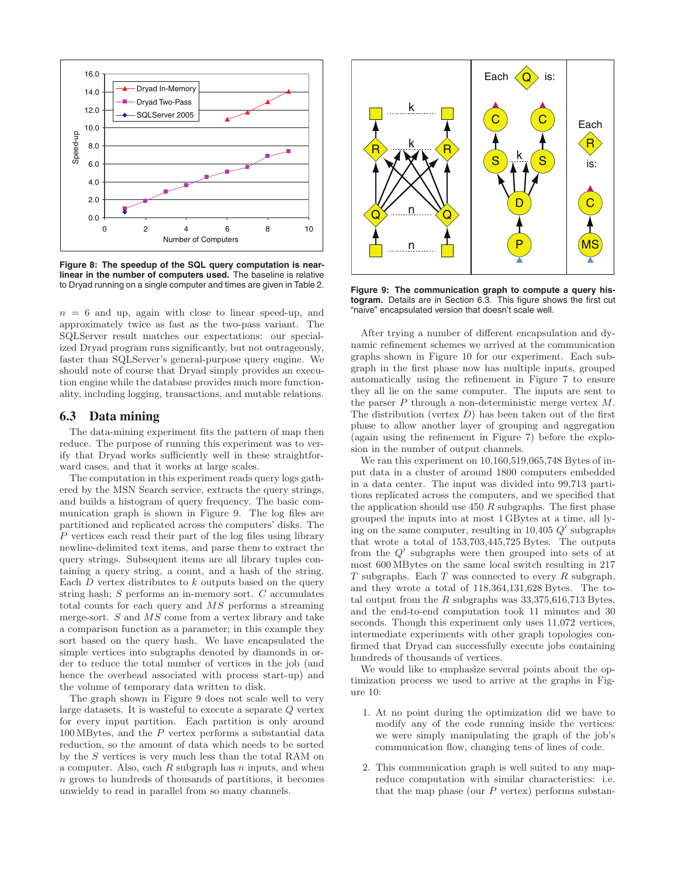

**Figure 8: The speedup of the SQL query computation is nearlinear in the number of computers used.** The baseline is relative to Dryad running on a single computer and times are given in Table 2.

 $n = 6$  and up, again with close to linear speed-up, and approximately twice as fast as the two-pass variant. The SQLServer result matches our expectations: our specialized Dryad program runs significantly, but not outrageously, faster than SQLServer's general-purpose query engine. We should note of course that Dryad simply provides an execution engine while the database provides much more functionality, including logging, transactions, and mutable relations.

#### **6.3 Data mining**

The data-mining experiment fits the pattern of map then reduce. The purpose of running this experiment was to verify that Dryad works sufficiently well in these straightforward cases, and that it works at large scales.

The computation in this experiment reads query logs gathered by the MSN Search service, extracts the query strings, and builds a histogram of query frequency. The basic communication graph is shown in Figure 9. The log files are partitioned and replicated across the computers' disks. The *P* vertices each read their part of the log files using library newline-delimited text items, and parse them to extract the query strings. Subsequent items are all library tuples containing a query string, a count, and a hash of the string. Each *D* vertex distributes to *k* outputs based on the query string hash; *S* performs an in-memory sort. *C* accumulates total counts for each query and *MS* performs a streaming merge-sort. *S* and *MS* come from a vertex library and take a comparison function as a parameter; in this example they sort based on the query hash. We have encapsulated the simple vertices into subgraphs denoted by diamonds in order to reduce the total number of vertices in the job (and hence the overhead associated with process start-up) and the volume of temporary data written to disk.

The graph shown in Figure 9 does not scale well to very large datasets. It is wasteful to execute a separate *Q* vertex for every input partition. Each partition is only around 100 MBytes, and the *P* vertex performs a substantial data reduction, so the amount of data which needs to be sorted by the *S* vertices is very much less than the total RAM on a computer. Also, each *R* subgraph has *n* inputs, and when *n* grows to hundreds of thousands of partitions, it becomes unwieldy to read in parallel from so many channels.



**Figure 9: The communication graph to compute a query histogram.** Details are in Section 6.3. This figure shows the first cut "naive" encapsulated version that doesn't scale well.

After trying a number of different encapsulation and dynamic refinement schemes we arrived at the communication graphs shown in Figure 10 for our experiment. Each subgraph in the first phase now has multiple inputs, grouped automatically using the refinement in Figure 7 to ensure they all lie on the same computer. The inputs are sent to the parser *P* through a non-deterministic merge vertex *M*. The distribution (vertex *D*) has been taken out of the first phase to allow another layer of grouping and aggregation (again using the refinement in Figure 7) before the explosion in the number of output channels.

We ran this experiment on 10,160,519,065,748 Bytes of input data in a cluster of around 1800 computers embedded in a data center. The input was divided into 99,713 partitions replicated across the computers, and we specified that the application should use 450 *R* subgraphs. The first phase grouped the inputs into at most 1 GBytes at a time, all lying on the same computer, resulting in  $10,405$   $Q'$  subgraphs that wrote a total of 153,703,445,725 Bytes. The outputs from the  $Q'$  subgraphs were then grouped into sets of at most 600 MBytes on the same local switch resulting in 217 *T* subgraphs. Each *T* was connected to every *R* subgraph, and they wrote a total of 118,364,131,628 Bytes. The total output from the *R* subgraphs was 33,375,616,713 Bytes, and the end-to-end computation took 11 minutes and 30 seconds. Though this experiment only uses 11,072 vertices, intermediate experiments with other graph topologies confirmed that Dryad can successfully execute jobs containing hundreds of thousands of vertices.

We would like to emphasize several points about the optimization process we used to arrive at the graphs in Figure 10:

- 1. At no point during the optimization did we have to modify any of the code running inside the vertices: we were simply manipulating the graph of the job's communication flow, changing tens of lines of code.
- 2. This communication graph is well suited to any mapreduce computation with similar characteristics: i.e. that the map phase (our *P* vertex) performs substan-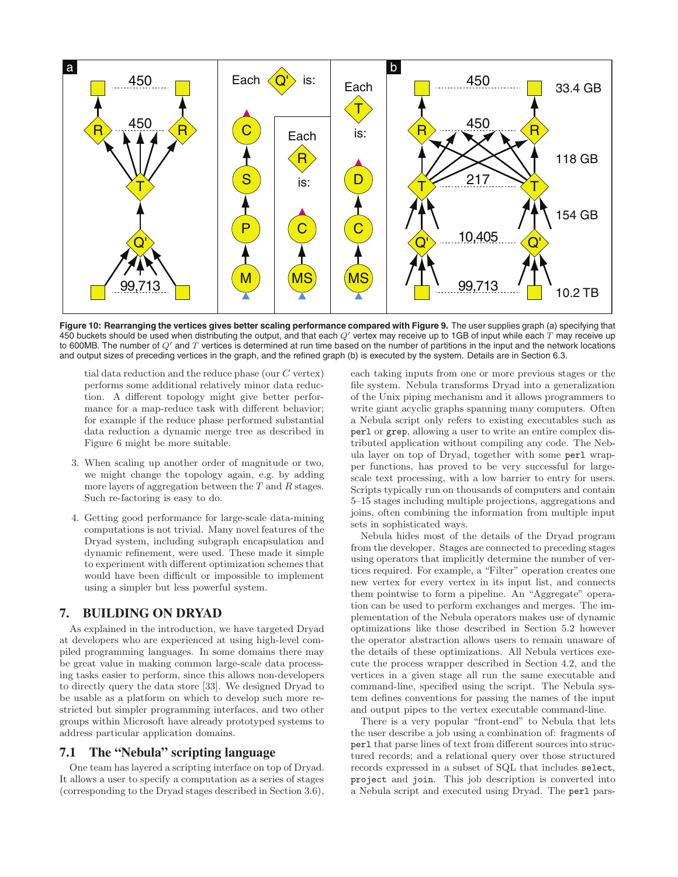

**Figure 10: Rearranging the vertices gives better scaling performance compared with Figure 9.** The user supplies graph (a) specifying that 450 buckets should be used when distributing the output, and that each *Q* vertex may receive up to 1GB of input while each *T* may receive up to 600MB. The number of *Q'* and *T* vertices is determined at run time based on the number of partitions in the input and the network locations and output sizes of preceding vertices in the graph, and the refined graph (b) is executed by the system. Details are in Section 6.3.

tial data reduction and the reduce phase (our *C* vertex) performs some additional relatively minor data reduction. A different topology might give better performance for a map-reduce task with different behavior; for example if the reduce phase performed substantial data reduction a dynamic merge tree as described in Figure 6 might be more suitable.

- 3. When scaling up another order of magnitude or two, we might change the topology again, e.g. by adding more layers of aggregation between the *T* and *R* stages. Such re-factoring is easy to do.
- 4. Getting good performance for large-scale data-mining computations is not trivial. Many novel features of the Dryad system, including subgraph encapsulation and dynamic refinement, were used. These made it simple to experiment with different optimization schemes that would have been difficult or impossible to implement using a simpler but less powerful system.

# **7. BUILDING ON DRYAD**

As explained in the introduction, we have targeted Dryad at developers who are experienced at using high-level compiled programming languages. In some domains there may be great value in making common large-scale data processing tasks easier to perform, since this allows non-developers to directly query the data store [33]. We designed Dryad to be usable as a platform on which to develop such more restricted but simpler programming interfaces, and two other groups within Microsoft have already prototyped systems to address particular application domains.

# **7.1 The "Nebula" scripting language**

One team has layered a scripting interface on top of Dryad. It allows a user to specify a computation as a series of stages (corresponding to the Dryad stages described in Section 3.6),

each taking inputs from one or more previous stages or the file system. Nebula transforms Dryad into a generalization of the Unix piping mechanism and it allows programmers to write giant acyclic graphs spanning many computers. Often a Nebula script only refers to existing executables such as perl or grep, allowing a user to write an entire complex distributed application without compiling any code. The Nebula layer on top of Dryad, together with some perl wrapper functions, has proved to be very successful for largescale text processing, with a low barrier to entry for users. Scripts typically run on thousands of computers and contain 5–15 stages including multiple projections, aggregations and joins, often combining the information from multiple input sets in sophisticated ways.

Nebula hides most of the details of the Dryad program from the developer. Stages are connected to preceding stages using operators that implicitly determine the number of vertices required. For example, a "Filter" operation creates one new vertex for every vertex in its input list, and connects them pointwise to form a pipeline. An "Aggregate" operation can be used to perform exchanges and merges. The implementation of the Nebula operators makes use of dynamic optimizations like those described in Section 5.2 however the operator abstraction allows users to remain unaware of the details of these optimizations. All Nebula vertices execute the process wrapper described in Section 4.2, and the vertices in a given stage all run the same executable and command-line, specified using the script. The Nebula system defines conventions for passing the names of the input and output pipes to the vertex executable command-line.

There is a very popular "front-end" to Nebula that lets the user describe a job using a combination of: fragments of perl that parse lines of text from different sources into structured records; and a relational query over those structured records expressed in a subset of SQL that includes select, project and join. This job description is converted into a Nebula script and executed using Dryad. The perl pars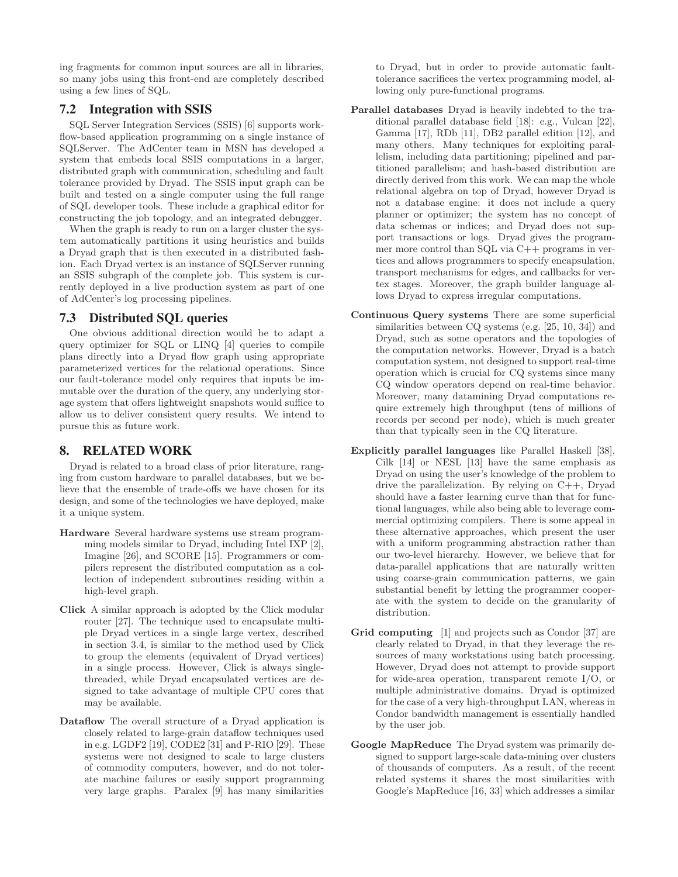ing fragments for common input sources are all in libraries, so many jobs using this front-end are completely described using a few lines of SQL.

# **7.2 Integration with SSIS**

SQL Server Integration Services (SSIS) [6] supports workflow-based application programming on a single instance of SQLServer. The AdCenter team in MSN has developed a system that embeds local SSIS computations in a larger, distributed graph with communication, scheduling and fault tolerance provided by Dryad. The SSIS input graph can be built and tested on a single computer using the full range of SQL developer tools. These include a graphical editor for constructing the job topology, and an integrated debugger.

When the graph is ready to run on a larger cluster the system automatically partitions it using heuristics and builds a Dryad graph that is then executed in a distributed fashion. Each Dryad vertex is an instance of SQLServer running an SSIS subgraph of the complete job. This system is currently deployed in a live production system as part of one of AdCenter's log processing pipelines.

# **7.3 Distributed SQL queries**

One obvious additional direction would be to adapt a query optimizer for SQL or LINQ [4] queries to compile plans directly into a Dryad flow graph using appropriate parameterized vertices for the relational operations. Since our fault-tolerance model only requires that inputs be immutable over the duration of the query, any underlying storage system that offers lightweight snapshots would suffice to allow us to deliver consistent query results. We intend to pursue this as future work.

# **8. RELATED WORK**

Dryad is related to a broad class of prior literature, ranging from custom hardware to parallel databases, but we believe that the ensemble of trade-offs we have chosen for its design, and some of the technologies we have deployed, make it a unique system.

- **Hardware** Several hardware systems use stream programming models similar to Dryad, including Intel IXP [2], Imagine [26], and SCORE [15]. Programmers or compilers represent the distributed computation as a collection of independent subroutines residing within a high-level graph.
- **Click** A similar approach is adopted by the Click modular router [27]. The technique used to encapsulate multiple Dryad vertices in a single large vertex, described in section 3.4, is similar to the method used by Click to group the elements (equivalent of Dryad vertices) in a single process. However, Click is always singlethreaded, while Dryad encapsulated vertices are designed to take advantage of multiple CPU cores that may be available.
- **Dataflow** The overall structure of a Dryad application is closely related to large-grain dataflow techniques used in e.g. LGDF2 [19], CODE2 [31] and P-RIO [29]. These systems were not designed to scale to large clusters of commodity computers, however, and do not tolerate machine failures or easily support programming very large graphs. Paralex [9] has many similarities

to Dryad, but in order to provide automatic faulttolerance sacrifices the vertex programming model, allowing only pure-functional programs.

- **Parallel databases** Dryad is heavily indebted to the traditional parallel database field [18]: e.g., Vulcan [22], Gamma [17], RDb [11], DB2 parallel edition [12], and many others. Many techniques for exploiting parallelism, including data partitioning; pipelined and partitioned parallelism; and hash-based distribution are directly derived from this work. We can map the whole relational algebra on top of Dryad, however Dryad is not a database engine: it does not include a query planner or optimizer; the system has no concept of data schemas or indices; and Dryad does not support transactions or logs. Dryad gives the programmer more control than SQL via C++ programs in vertices and allows programmers to specify encapsulation, transport mechanisms for edges, and callbacks for vertex stages. Moreover, the graph builder language allows Dryad to express irregular computations.
- **Continuous Query systems** There are some superficial similarities between CQ systems (e.g. [25, 10, 34]) and Dryad, such as some operators and the topologies of the computation networks. However, Dryad is a batch computation system, not designed to support real-time operation which is crucial for CQ systems since many CQ window operators depend on real-time behavior. Moreover, many datamining Dryad computations require extremely high throughput (tens of millions of records per second per node), which is much greater than that typically seen in the CQ literature.
- **Explicitly parallel languages** like Parallel Haskell [38], Cilk [14] or NESL [13] have the same emphasis as Dryad on using the user's knowledge of the problem to drive the parallelization. By relying on C++, Dryad should have a faster learning curve than that for functional languages, while also being able to leverage commercial optimizing compilers. There is some appeal in these alternative approaches, which present the user with a uniform programming abstraction rather than our two-level hierarchy. However, we believe that for data-parallel applications that are naturally written using coarse-grain communication patterns, we gain substantial benefit by letting the programmer cooperate with the system to decide on the granularity of distribution.
- **Grid computing** [1] and projects such as Condor [37] are clearly related to Dryad, in that they leverage the resources of many workstations using batch processing. However, Dryad does not attempt to provide support for wide-area operation, transparent remote I/O, or multiple administrative domains. Dryad is optimized for the case of a very high-throughput LAN, whereas in Condor bandwidth management is essentially handled by the user job.
- **Google MapReduce** The Dryad system was primarily designed to support large-scale data-mining over clusters of thousands of computers. As a result, of the recent related systems it shares the most similarities with Google's MapReduce [16, 33] which addresses a similar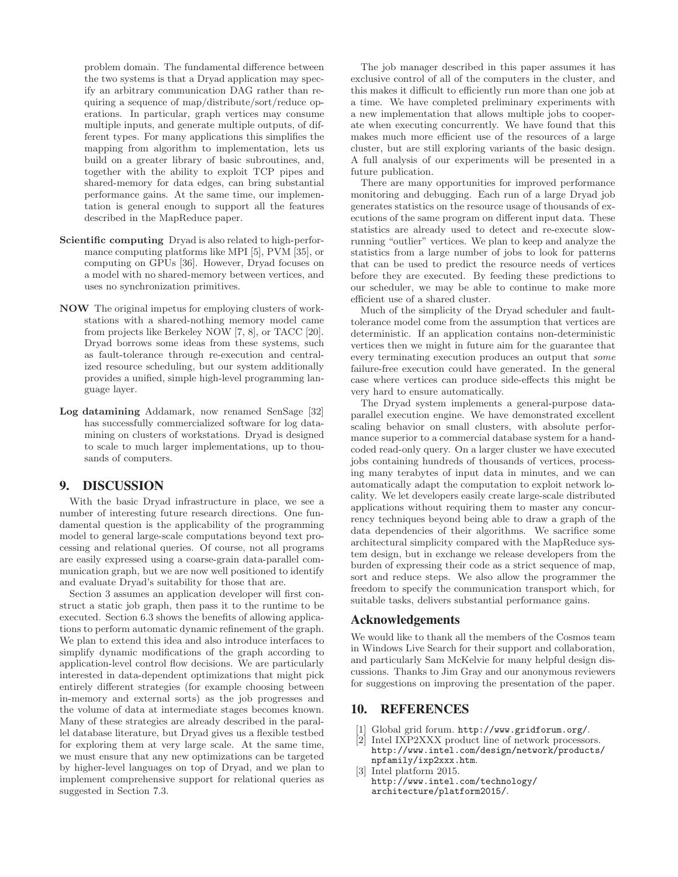problem domain. The fundamental difference between the two systems is that a Dryad application may specify an arbitrary communication DAG rather than requiring a sequence of map/distribute/sort/reduce operations. In particular, graph vertices may consume multiple inputs, and generate multiple outputs, of different types. For many applications this simplifies the mapping from algorithm to implementation, lets us build on a greater library of basic subroutines, and, together with the ability to exploit TCP pipes and shared-memory for data edges, can bring substantial performance gains. At the same time, our implementation is general enough to support all the features described in the MapReduce paper.

- **Scientific computing** Dryad is also related to high-performance computing platforms like MPI [5], PVM [35], or computing on GPUs [36]. However, Dryad focuses on a model with no shared-memory between vertices, and uses no synchronization primitives.
- **NOW** The original impetus for employing clusters of workstations with a shared-nothing memory model came from projects like Berkeley NOW [7, 8], or TACC [20]. Dryad borrows some ideas from these systems, such as fault-tolerance through re-execution and centralized resource scheduling, but our system additionally provides a unified, simple high-level programming language layer.
- **Log datamining** Addamark, now renamed SenSage [32] has successfully commercialized software for log datamining on clusters of workstations. Dryad is designed to scale to much larger implementations, up to thousands of computers.

#### **9. DISCUSSION**

With the basic Dryad infrastructure in place, we see a number of interesting future research directions. One fundamental question is the applicability of the programming model to general large-scale computations beyond text processing and relational queries. Of course, not all programs are easily expressed using a coarse-grain data-parallel communication graph, but we are now well positioned to identify and evaluate Dryad's suitability for those that are.

Section 3 assumes an application developer will first construct a static job graph, then pass it to the runtime to be executed. Section 6.3 shows the benefits of allowing applications to perform automatic dynamic refinement of the graph. We plan to extend this idea and also introduce interfaces to simplify dynamic modifications of the graph according to application-level control flow decisions. We are particularly interested in data-dependent optimizations that might pick entirely different strategies (for example choosing between in-memory and external sorts) as the job progresses and the volume of data at intermediate stages becomes known. Many of these strategies are already described in the parallel database literature, but Dryad gives us a flexible testbed for exploring them at very large scale. At the same time, we must ensure that any new optimizations can be targeted by higher-level languages on top of Dryad, and we plan to implement comprehensive support for relational queries as suggested in Section 7.3.

The job manager described in this paper assumes it has exclusive control of all of the computers in the cluster, and this makes it difficult to efficiently run more than one job at a time. We have completed preliminary experiments with a new implementation that allows multiple jobs to cooperate when executing concurrently. We have found that this makes much more efficient use of the resources of a large cluster, but are still exploring variants of the basic design. A full analysis of our experiments will be presented in a future publication.

There are many opportunities for improved performance monitoring and debugging. Each run of a large Dryad job generates statistics on the resource usage of thousands of executions of the same program on different input data. These statistics are already used to detect and re-execute slowrunning "outlier" vertices. We plan to keep and analyze the statistics from a large number of jobs to look for patterns that can be used to predict the resource needs of vertices before they are executed. By feeding these predictions to our scheduler, we may be able to continue to make more efficient use of a shared cluster.

Much of the simplicity of the Dryad scheduler and faulttolerance model come from the assumption that vertices are deterministic. If an application contains non-deterministic vertices then we might in future aim for the guarantee that every terminating execution produces an output that *some* failure-free execution could have generated. In the general case where vertices can produce side-effects this might be very hard to ensure automatically.

The Dryad system implements a general-purpose dataparallel execution engine. We have demonstrated excellent scaling behavior on small clusters, with absolute performance superior to a commercial database system for a handcoded read-only query. On a larger cluster we have executed jobs containing hundreds of thousands of vertices, processing many terabytes of input data in minutes, and we can automatically adapt the computation to exploit network locality. We let developers easily create large-scale distributed applications without requiring them to master any concurrency techniques beyond being able to draw a graph of the data dependencies of their algorithms. We sacrifice some architectural simplicity compared with the MapReduce system design, but in exchange we release developers from the burden of expressing their code as a strict sequence of map, sort and reduce steps. We also allow the programmer the freedom to specify the communication transport which, for suitable tasks, delivers substantial performance gains.

## **Acknowledgements**

We would like to thank all the members of the Cosmos team in Windows Live Search for their support and collaboration, and particularly Sam McKelvie for many helpful design discussions. Thanks to Jim Gray and our anonymous reviewers for suggestions on improving the presentation of the paper.

# **10. REFERENCES**

- [1] Global grid forum. http://www.gridforum.org/.
- [2] Intel IXP2XXX product line of network processors. http://www.intel.com/design/network/products/ npfamily/ixp2xxx.htm.
- [3] Intel platform 2015. http://www.intel.com/technology/ architecture/platform2015/.